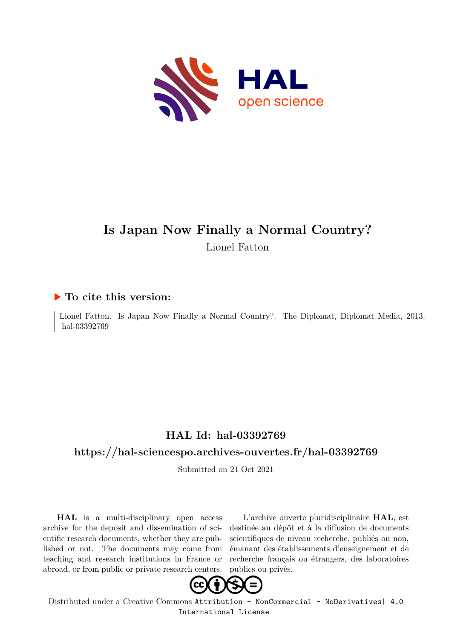

# **Is Japan Now Finally a Normal Country?** Lionel Fatton

#### **To cite this version:**

Lionel Fatton. Is Japan Now Finally a Normal Country?. The Diplomat, Diplomat Media, 2013. hal-03392769

### **HAL Id: hal-03392769**

#### **<https://hal-sciencespo.archives-ouvertes.fr/hal-03392769>**

Submitted on 21 Oct 2021

**HAL** is a multi-disciplinary open access archive for the deposit and dissemination of scientific research documents, whether they are published or not. The documents may come from teaching and research institutions in France or abroad, or from public or private research centers.

L'archive ouverte pluridisciplinaire **HAL**, est destinée au dépôt et à la diffusion de documents scientifiques de niveau recherche, publiés ou non, émanant des établissements d'enseignement et de recherche français ou étrangers, des laboratoires publics ou privés.



Distributed under a Creative Commons [Attribution - NonCommercial - NoDerivatives| 4.0](http://creativecommons.org/licenses/by-nc-nd/4.0/) [International License](http://creativecommons.org/licenses/by-nc-nd/4.0/)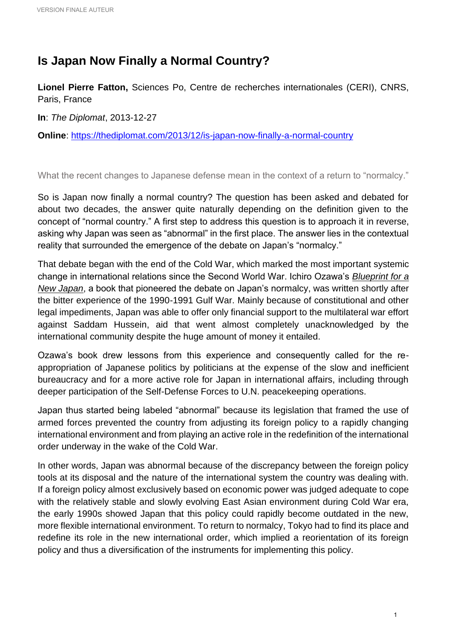## **Is Japan Now Finally a Normal Country?**

**Lionel Pierre Fatton,** Sciences Po, Centre de recherches internationales (CERI), CNRS, Paris, France

**In**: *The Diplomat*, 2013-12-27

**Online**:<https://thediplomat.com/2013/12/is-japan-now-finally-a-normal-country>

What the recent changes to Japanese defense mean in the context of a return to "normalcy."

So is Japan now finally a normal country? The question has been asked and debated for about two decades, the answer quite naturally depending on the definition given to the concept of "normal country." A first step to address this question is to approach it in reverse, asking why Japan was seen as "abnormal" in the first place. The answer lies in the contextual reality that surrounded the emergence of the debate on Japan's "normalcy."

That debate began with the end of the Cold War, which marked the most important systemic change in international relations since the Second World War. Ichiro Ozawa's *[Blueprint for a](https://www.amazon.com/Blueprint-New-Japan-Rethinking-Nation/dp/4770018711)  [New Japan](https://www.amazon.com/Blueprint-New-Japan-Rethinking-Nation/dp/4770018711)*, a book that pioneered the debate on Japan's normalcy, was written shortly after the bitter experience of the 1990-1991 Gulf War. Mainly because of constitutional and other legal impediments, Japan was able to offer only financial support to the multilateral war effort against Saddam Hussein, aid that went almost completely unacknowledged by the international community despite the huge amount of money it entailed.

Ozawa's book drew lessons from this experience and consequently called for the reappropriation of Japanese politics by politicians at the expense of the slow and inefficient bureaucracy and for a more active role for Japan in international affairs, including through deeper participation of the Self-Defense Forces to U.N. peacekeeping operations.

Japan thus started being labeled "abnormal" because its legislation that framed the use of armed forces prevented the country from adjusting its foreign policy to a rapidly changing international environment and from playing an active role in the redefinition of the international order underway in the wake of the Cold War.

In other words, Japan was abnormal because of the discrepancy between the foreign policy tools at its disposal and the nature of the international system the country was dealing with. If a foreign policy almost exclusively based on economic power was judged adequate to cope with the relatively stable and slowly evolving East Asian environment during Cold War era, the early 1990s showed Japan that this policy could rapidly become outdated in the new, more flexible international environment. To return to normalcy, Tokyo had to find its place and redefine its role in the new international order, which implied a reorientation of its foreign policy and thus a diversification of the instruments for implementing this policy.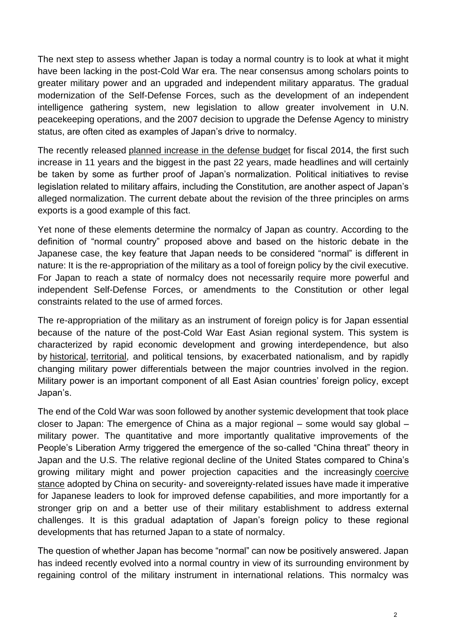The next step to assess whether Japan is today a normal country is to look at what it might have been lacking in the post-Cold War era. The near consensus among scholars points to greater military power and an upgraded and independent military apparatus. The gradual modernization of the Self-Defense Forces, such as the development of an independent intelligence gathering system, new legislation to allow greater involvement in U.N. peacekeeping operations, and the 2007 decision to upgrade the Defense Agency to ministry status, are often cited as examples of Japan's drive to normalcy.

The recently released [planned increase in the defense budget](https://thediplomat.com/2013/12/china-responds-to-japans-defense-package/) for fiscal 2014, the first such increase in 11 years and the biggest in the past 22 years, made headlines and will certainly be taken by some as further proof of Japan's normalization. Political initiatives to revise legislation related to military affairs, including the Constitution, are another aspect of Japan's alleged normalization. The current debate about the revision of the three principles on arms exports is a good example of this fact.

Yet none of these elements determine the normalcy of Japan as country. According to the definition of "normal country" proposed above and based on the historic debate in the Japanese case, the key feature that Japan needs to be considered "normal" is different in nature: It is the re-appropriation of the military as a tool of foreign policy by the civil executive. For Japan to reach a state of normalcy does not necessarily require more powerful and independent Self-Defense Forces, or amendments to the Constitution or other legal constraints related to the use of armed forces.

The re-appropriation of the military as an instrument of foreign policy is for Japan essential because of the nature of the post-Cold War East Asian regional system. This system is characterized by rapid economic development and growing interdependence, but also by [historical,](https://thediplomat.com/2013/12/abes-yasukuni-visit-calculated-politicking/) [territorial,](https://thediplomat.com/2013/12/the-senkaku-islands-as-cold-war-berlin/) and political tensions, by exacerbated nationalism, and by rapidly changing military power differentials between the major countries involved in the region. Military power is an important component of all East Asian countries' foreign policy, except Japan's.

The end of the Cold War was soon followed by another systemic development that took place closer to Japan: The emergence of China as a major regional – some would say global – military power. The quantitative and more importantly qualitative improvements of the People's Liberation Army triggered the emergence of the so-called "China threat" theory in Japan and the U.S. The relative regional decline of the United States compared to China's growing military might and power projection capacities and the increasingly [coercive](https://thediplomat.com/2013/11/the-diplomats-east-china-sea-adiz-analysis-round-up/)  [stance](https://thediplomat.com/2013/11/the-diplomats-east-china-sea-adiz-analysis-round-up/) adopted by China on security- and sovereignty-related issues have made it imperative for Japanese leaders to look for improved defense capabilities, and more importantly for a stronger grip on and a better use of their military establishment to address external challenges. It is this gradual adaptation of Japan's foreign policy to these regional developments that has returned Japan to a state of normalcy.

The question of whether Japan has become "normal" can now be positively answered. Japan has indeed recently evolved into a normal country in view of its surrounding environment by regaining control of the military instrument in international relations. This normalcy was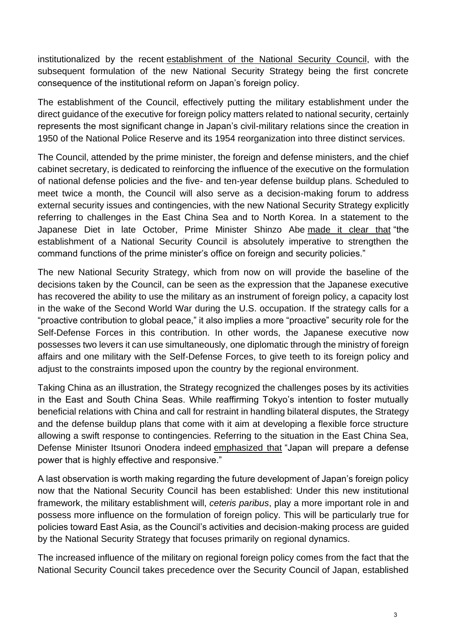institutionalized by the recent [establishment of the National Security Council,](https://thediplomat.com/2013/12/japans-evolving-security-architecture/) with the subsequent formulation of the new National Security Strategy being the first concrete consequence of the institutional reform on Japan's foreign policy.

The establishment of the Council, effectively putting the military establishment under the direct guidance of the executive for foreign policy matters related to national security, certainly represents the most significant change in Japan's civil-military relations since the creation in 1950 of the National Police Reserve and its 1954 reorganization into three distinct services.

The Council, attended by the prime minister, the foreign and defense ministers, and the chief cabinet secretary, is dedicated to reinforcing the influence of the executive on the formulation of national defense policies and the five- and ten-year defense buildup plans. Scheduled to meet twice a month, the Council will also serve as a decision-making forum to address external security issues and contingencies, with the new National Security Strategy explicitly referring to challenges in the East China Sea and to North Korea. In a statement to the Japanese Diet in late October, Prime Minister Shinzo Abe [made it clear that](https://online.wsj.com/news/articles/SB10001424052702303653004579210881381219784) "the establishment of a National Security Council is absolutely imperative to strengthen the command functions of the prime minister's office on foreign and security policies."

The new National Security Strategy, which from now on will provide the baseline of the decisions taken by the Council, can be seen as the expression that the Japanese executive has recovered the ability to use the military as an instrument of foreign policy, a capacity lost in the wake of the Second World War during the U.S. occupation. If the strategy calls for a "proactive contribution to global peace," it also implies a more "proactive" security role for the Self-Defense Forces in this contribution. In other words, the Japanese executive now possesses two levers it can use simultaneously, one diplomatic through the ministry of foreign affairs and one military with the Self-Defense Forces, to give teeth to its foreign policy and adjust to the constraints imposed upon the country by the regional environment.

Taking China as an illustration, the Strategy recognized the challenges poses by its activities in the East and South China Seas. While reaffirming Tokyo's intention to foster mutually beneficial relations with China and call for restraint in handling bilateral disputes, the Strategy and the defense buildup plans that come with it aim at developing a flexible force structure allowing a swift response to contingencies. Referring to the situation in the East China Sea, Defense Minister Itsunori Onodera indeed [emphasized that](http://www.globalpost.com/dispatch/news/kyodo-news-international/131217/japan-beef-defense-due-assertive-china-review-arms-emb) "Japan will prepare a defense power that is highly effective and responsive."

A last observation is worth making regarding the future development of Japan's foreign policy now that the National Security Council has been established: Under this new institutional framework, the military establishment will, *ceteris paribus*, play a more important role in and possess more influence on the formulation of foreign policy. This will be particularly true for policies toward East Asia, as the Council's activities and decision-making process are guided by the National Security Strategy that focuses primarily on regional dynamics.

The increased influence of the military on regional foreign policy comes from the fact that the National Security Council takes precedence over the Security Council of Japan, established